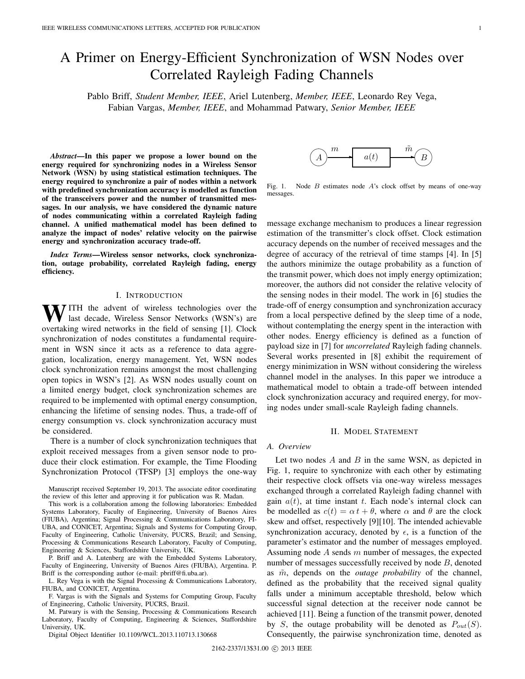# A Primer on Energy-Efficient Synchronization of WSN Nodes over Correlated Rayleigh Fading Channels

Pablo Briff, *Student Member, IEEE*, Ariel Lutenberg, *Member, IEEE*, Leonardo Rey Vega, Fabian Vargas, *Member, IEEE*, and Mohammad Patwary, *Senior Member, IEEE*

*Abstract***—In this paper we propose a lower bound on the energy required for synchronizing nodes in a Wireless Sensor Network (WSN) by using statistical estimation techniques. The energy required to synchronize a pair of nodes within a network with predefined synchronization accuracy is modelled as function of the transceivers power and the number of transmitted messages. In our analysis, we have considered the dynamic nature of nodes communicating within a correlated Rayleigh fading channel. A unified mathematical model has been defined to analyze the impact of nodes' relative velocity on the pairwise energy and synchronization accuracy trade-off.**

*Index Terms***—Wireless sensor networks, clock synchronization, outage probability, correlated Rayleigh fading, energy efficiency.**

# I. INTRODUCTION

WITH the advent of wireless technologies over the last decade, Wireless Sensor Networks (WSN's) are overtaking wired networks in the field of sensing [1]. Clock synchronization of nodes constitutes a fundamental requirement in WSN since it acts as a reference to data aggregation, localization, energy management. Yet, WSN nodes clock synchronization remains amongst the most challenging open topics in WSN's [2]. As WSN nodes usually count on a limited energy budget, clock synchronization schemes are required to be implemented with optimal energy consumption, enhancing the lifetime of sensing nodes. Thus, a trade-off of energy consumption vs. clock synchronization accuracy must be considered.

There is a number of clock synchronization techniques that exploit received messages from a given sensor node to produce their clock estimation. For example, the Time Flooding Synchronization Protocol (TFSP) [3] employs the one-way

P. Briff and A. Lutenberg are with the Embedded Systems Laboratory, Faculty of Engineering, University of Buenos Aires (FIUBA), Argentina. P. Briff is the corresponding author (e-mail: pbriff@fi.uba.ar).

L. Rey Vega is with the Signal Processing & Communications Laboratory, FIUBA, and CONICET, Argentina.

F. Vargas is with the Signals and Systems for Computing Group, Faculty of Engineering, Catholic University, PUCRS, Brazil.

M. Patwary is with the Sensing, Processing & Communications Research Laboratory, Faculty of Computing, Engineering & Sciences, Staffordshire University, UK.

Digital Object Identifier 10.1109/WCL.2013.110713.130668



Fig. 1. Node  $B$  estimates node  $A$ 's clock offset by means of one-way messages.

message exchange mechanism to produces a linear regression estimation of the transmitter's clock offset. Clock estimation accuracy depends on the number of received messages and the degree of accuracy of the retrieval of time stamps [4]. In [5] the authors minimize the outage probability as a function of the transmit power, which does not imply energy optimization; moreover, the authors did not consider the relative velocity of the sensing nodes in their model. The work in [6] studies the trade-off of energy consumption and synchronization accuracy from a local perspective defined by the sleep time of a node, without contemplating the energy spent in the interaction with other nodes. Energy efficiency is defined as a function of payload size in [7] for *uncorrelated* Rayleigh fading channels. Several works presented in [8] exhibit the requirement of energy minimization in WSN without considering the wireless channel model in the analyses. In this paper we introduce a mathematical model to obtain a trade-off between intended clock synchronization accuracy and required energy, for moving nodes under small-scale Rayleigh fading channels.

#### II. MODEL STATEMENT

#### *A. Overview*

Let two nodes  $A$  and  $B$  in the same WSN, as depicted in Fig. 1, require to synchronize with each other by estimating their respective clock offsets via one-way wireless messages exchanged through a correlated Rayleigh fading channel with gain  $a(t)$ , at time instant t. Each node's internal clock can be modelled as  $c(t) = \alpha t + \theta$ , where  $\alpha$  and  $\theta$  are the clock skew and offset, respectively [9][10]. The intended achievable synchronization accuracy, denoted by  $\epsilon$ , is a function of the parameter's estimator and the number of messages employed. Assuming node  $A$  sends  $m$  number of messages, the expected number of messages successfully received by node B, denoted as  $\tilde{m}$ , depends on the *outage probability* of the channel, defined as the probability that the received signal quality falls under a minimum acceptable threshold, below which successful signal detection at the receiver node cannot be achieved [11]. Being a function of the transmit power, denoted by S, the outage probability will be denoted as  $P_{out}(S)$ . Consequently, the pairwise synchronization time, denoted as

Manuscript received September 19, 2013. The associate editor coordinating the review of this letter and approving it for publication was R. Madan.

This work is a collaboration among the following laboratories: Embedded Systems Laboratory, Faculty of Engineering, University of Buenos Aires (FIUBA), Argentina; Signal Processing & Communications Laboratory, FI-UBA, and CONICET, Argentina; Signals and Systems for Computing Group, Faculty of Engineering, Catholic University, PUCRS, Brazil; and Sensing, Processing & Communications Research Laboratory, Faculty of Computing, Engineering & Sciences, Staffordshire University, UK.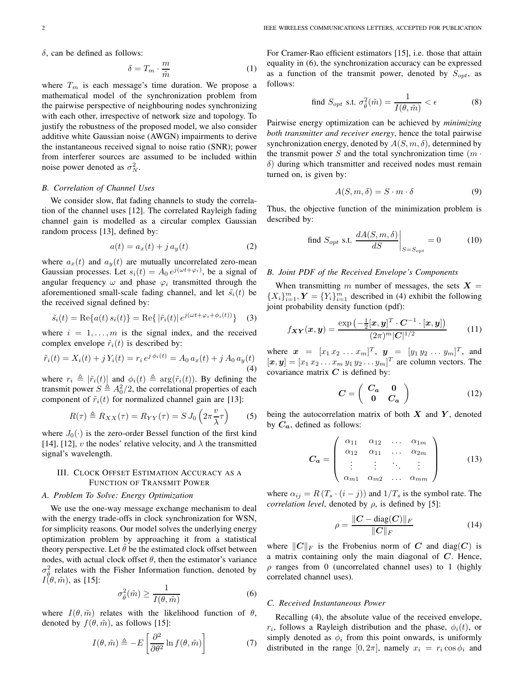$\delta$ , can be defined as follows:

$$
\delta = T_m \cdot \frac{m}{\tilde{m}}
$$
 (1)  
where  $T_m$  is each message's time duration. We propose a

mathematical model of the synchronization problem from the pairwise perspective of neighbouring nodes synchronizing with each other, irrespective of network size and topology. To justify the robustness of the proposed model, we also consider additive white Gaussian noise (AWGN) impairments to derive the instantaneous received signal to noise ratio (SNR); power from interferer sources are assumed to be included within noise power denoted as  $\sigma_N^2$ .

# *B. Correlation of Channel Uses*

We consider slow, flat fading channels to study the correlation of the channel uses [12]. The correlated Rayleigh fading channel gain is modelled as a circular complex Gaussian random process [13], defined by:

$$
a(t) = a_x(t) + j a_y(t)
$$
 (2)

where  $a_x(t)$  and  $a_y(t)$  are mutually uncorrelated zero-mean Gaussian processes. Let  $s_i(t) = A_0 e^{j(\omega t + \varphi_i)}$ , be a signal of anoular frequency  $\omega_i$  and phase  $\omega_i$  transmitted through the angular frequency  $\omega$  and phase  $\varphi_i$  transmitted through the aforementioned small-scale fading channel, and let  $\tilde{s_i}(t)$  be the received signal defined by:

$$
\tilde{s}_i(t) = \text{Re}\{a(t) s_i(t)\} = \text{Re}\{|\tilde{r}_i(t)| e^{j(\omega t + \varphi_i + \phi_i(t))}\}\tag{3}
$$

where  $i = 1, \ldots, m$  is the signal index, and the received complex envelope  $\tilde{r}_i(t)$  is described by:

$$
\tilde{r}_i(t) = X_i(t) + j Y_i(t) = r_i e^{j \phi_i(t)} = A_0 a_x(t) + j A_0 a_y(t)
$$
\n(4)

where  $r_i \triangleq |\tilde{r}_i(t)|$  and  $\phi_i(t) \triangleq \arg(\tilde{r}_i(t))$ . By defining the transmit power  $S \triangleq 4^2/2$  the correlational properties of each transmit power  $S \triangleq A_0^2/2$ , the correlational properties of each<br>component of  $\tilde{x}$ . (t) for normalized channel gain are [13]. component of  $\tilde{r}_i(t)$  for normalized channel gain are [13]:

$$
R(\tau) \triangleq R_{XX}(\tau) = R_{YY}(\tau) = S J_0 \left(2\pi \frac{v}{\lambda}\tau\right) \tag{5}
$$

where  $J_0(\cdot)$  is the zero-order Bessel function of the first kind [14], [12], v the nodes' relative velocity, and  $\lambda$  the transmitted signal's wavelength.

## III. CLOCK OFFSET ESTIMATION ACCURACY AS A FUNCTION OF TRANSMIT POWER

## *A. Problem To Solve: Energy Optimization*

We use the one-way message exchange mechanism to deal with the energy trade-offs in clock synchronization for WSN, for simplicity reasons. Our model solves the underlying energy optimization problem by approaching it from a statistical theory perspective. Let  $\theta$  be the estimated clock offset between nodes, with actual clock offset  $\theta$ , then the estimator's variance  $\sigma_{\tau}^2$  relates with the Fisher Information function, denoted by  $I(\theta, \tilde{m})$ , as [15]:

$$
\sigma_{\hat{\theta}}^2(\tilde{m}) \ge \frac{1}{I(\theta, \tilde{m})}
$$
(6)

where  $I(\theta, \tilde{m})$  relates with the likelihood function of  $\theta$ , denoted by  $f(\theta, \tilde{m})$ , as follows [15]:

$$
I(\theta, \tilde{m}) \triangleq -E\left[\frac{\partial^2}{\partial \theta^2} \ln f(\theta, \tilde{m})\right]
$$
 (7)

For Cramer-Rao efficient estimators [15], i.e. those that attain equality in (6), the synchronization accuracy can be expressed as a function of the transmit power, denoted by  $S_{opt}$ , as follows:

find 
$$
S_{opt}
$$
 s.t.  $\sigma_{\hat{\theta}}^2(\tilde{m}) = \frac{1}{I(\theta, \tilde{m})} < \epsilon$  (8)

Pairwise energy optimization can be achieved by *minimizing both transmitter and receiver energy*, hence the total pairwise synchronization energy, denoted by  $A(S, m, \delta)$ , determined by the transmit power S and the total synchronization time  $(m \cdot$  $\delta$ ) during which transmitter and received nodes must remain turned on, is given by:

$$
A(S, m, \delta) = S \cdot m \cdot \delta \tag{9}
$$

Thus, the objective function of the minimization problem is described by:

find 
$$
S_{opt}
$$
 s.t. 
$$
\frac{dA(S, m, \delta)}{dS}\bigg|_{S=S_{opt}} = 0
$$
 (10)

# *B. Joint PDF of the Received Envelope's Components*

When transmitting m number of messages, the sets  $X =$  ${X_i}_{i=1}^m$ ,  $Y = {Y_i}_{i=1}^m$  described in (4) exhibit the following<br>ioni probability density function (pdf): joint probability density function (pdf):

$$
f_{\boldsymbol{XY}}(\boldsymbol{x},\boldsymbol{y}) = \frac{\exp\left(-\frac{1}{2}[\boldsymbol{x},\boldsymbol{y}]^T \cdot \boldsymbol{C}^{-1} \cdot [\boldsymbol{x},\boldsymbol{y}]\right)}{(2\pi)^m |\boldsymbol{C}|^{1/2}} \tag{11}
$$

where  $\mathbf{x} = [x_1 \, x_2 \, ... \, x_m]^T$ ,  $\mathbf{y} = [y_1 \, y_2 \, ... \, y_m]^T$ , and  $[x, y] = [x_1 \, x_2 \, ... \, x_n]$   $[y, y]$  are column vectors. The  $[x, y] = [x_1 x_2 ... x_m y_1 y_2 ... y_m]^T$  are column vectors. The covariance matrix  $C$  is defined by: covariance matrix  $C$  is defined by:

$$
C = \left(\begin{array}{cc} C_a & 0 \\ 0 & C_a \end{array}\right) \tag{12}
$$

being the autocorrelation matrix of both *X* and *Y* , denoted by  $C_a$ , defined as follows:

$$
C_{a} = \begin{pmatrix} \alpha_{11} & \alpha_{12} & \dots & \alpha_{1m} \\ \alpha_{12} & \alpha_{11} & \dots & \alpha_{2m} \\ \vdots & \vdots & \ddots & \vdots \\ \alpha_{m1} & \alpha_{m2} & \dots & \alpha_{mm} \end{pmatrix}
$$
 (13)

where  $\alpha_{ij} = R(T_s \cdot (i - j))$  and  $1/T_s$  is the symbol rate. The *correlation level*, denoted by  $\rho$ , is defined by [5]:

$$
\rho = \frac{\|C - \text{diag}(C)\|_F}{\|C\|_F} \tag{14}
$$

where  $||C||_F$  is the Frobenius norm of *C* and diag(*C*) is a matrix containing only the main diagonal of *C*. Hence,  $\rho$  ranges from 0 (uncorrelated channel uses) to 1 (highly correlated channel uses).

#### *C. Received Instantaneous Power*

Recalling (4), the absolute value of the received envelope,  $r_i$ , follows a Rayleigh distribution and the phase,  $\phi_i(t)$ , or simply denoted as  $\phi_i$  from this point onwards, is uniformly distributed in the range  $[0, 2\pi]$ , namely  $x_i = r_i \cos \phi_i$  and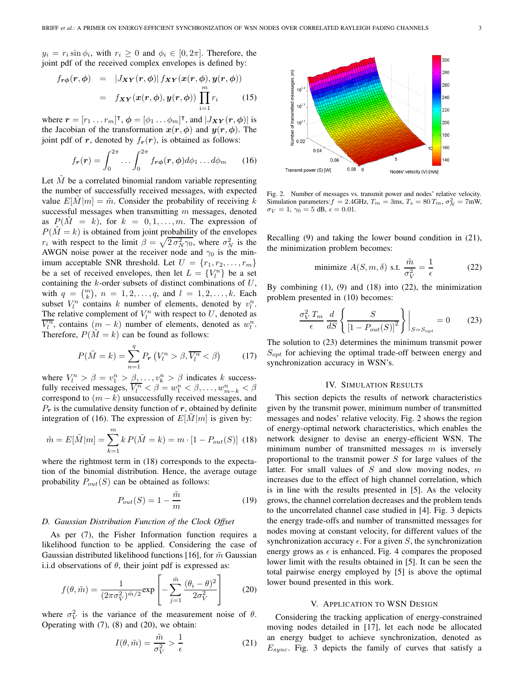$y_i = r_i \sin \phi_i$ , with  $r_i \geq 0$  and  $\phi_i \in [0, 2\pi]$ . Therefore, the joint pdf of the received complex envelopes is defined by:

$$
f_{\mathbf{r}\phi}(\mathbf{r},\phi) = |J_{\mathbf{XY}}(\mathbf{r},\phi)| f_{\mathbf{XY}}(\mathbf{x}(\mathbf{r},\phi), \mathbf{y}(\mathbf{r},\phi))
$$
  

$$
= f_{\mathbf{XY}}(\mathbf{x}(\mathbf{r},\phi), \mathbf{y}(\mathbf{r},\phi)) \prod_{i=1}^{m} r_i
$$
(15)

where  $\mathbf{r} = [r_1 \dots r_m]^\mathsf{T}$ ,  $\boldsymbol{\phi} = [\phi_1 \dots \phi_m]^\mathsf{T}$ , and  $|J_{XY}(r, \boldsymbol{\phi})|$  is<br>the Jacobian of the transformation  $\mathbf{r}(\mathbf{r}, \boldsymbol{\phi})$  and  $\mathbf{v}(\mathbf{r}, \boldsymbol{\phi})$ . The the Jacobian of the transformation  $x(r, \phi)$  and  $y(r, \phi)$ . The joint pdf of *r*, denoted by  $f_r(r)$ , is obtained as follows:

$$
f_{\boldsymbol{r}}(\boldsymbol{r}) = \int_0^{2\pi} \dots \int_0^{2\pi} f_{\boldsymbol{r}\boldsymbol{\phi}}(\boldsymbol{r}, \boldsymbol{\phi}) d\phi_1 \dots d\phi_m \qquad (16)
$$

Let  $\tilde{M}$  be a correlated binomial random variable representing the number of successfully received messages, with expected value  $E[M|m] = \tilde{m}$ . Consider the probability of receiving k successful messages when transmitting  $m$  messages, denoted as  $P(M = k)$ , for  $k = 0, 1, \ldots, m$ . The expression of  $P(M = k)$  is obtained from joint probability of the envelopes  $r_i$  with respect to the limit  $\beta = \sqrt{2 \sigma_N^2 \gamma_0}$ , where  $\sigma_N^2$  is the AWGN poise power at the receiver pode and  $\gamma_0$  is the min-AWGN noise power at the receiver node and  $\gamma_0$  is the minimum acceptable SNR threshold. Let  $U = \{r_1, r_2, \ldots, r_m\}$ be a set of received envelopes, then let  $L = \{V_l^n\}$  be a set<br>containing the *k*-order subsets of distinct combinations of *II* containing the  $k$ -order subsets of distinct combinations of  $U$ , with  $q = {m \choose k}$ ,  $n = 1, 2, ..., q$ , and  $l = 1, 2, ..., k$ . Each subset  $V^n$  contains k number of elements denoted by  $v^n$ subset  $V_l^n$  contains k number of elements, denoted by  $v_l^n$ . The relative complement of  $V_l^n$  with respect to U, denoted as  $\overline{V_l^n}$ , contains  $(m - k)$  number of elements, denoted as  $w_l^n$ .<br>Therefore  $P(\tilde{M} - k)$  can be found as follows: Therefore,  $P(M = k)$  can be found as follows:

$$
P(\tilde{M}=k) = \sum_{n=1}^{q} P_r \left( V_l^n > \beta, \overline{V_l^n} < \beta \right) \tag{17}
$$

where  $V_l^n > \beta = v_1^n > \beta, \ldots, v_k^n > \beta$  indicates k success-<br>fully received messages  $\overline{V_l^n} > \beta - w_l^n > \beta$ fully received messages,  $\overline{V_l^n} \leq \beta = w_1^n \leq \beta, \ldots, w_{m-k}^n \leq \beta$ <br>correspond to  $(m-k)$  upsuccessfully received messages, and correspond to  $(m - k)$  unsuccessfully received messages, and  $P_r$  is the cumulative density function of  $r$ , obtained by definite integration of (16). The expression of  $E[M|m]$  is given by:

$$
\tilde{m} = E[\tilde{M}|m] = \sum_{k=1}^{m} k P(\tilde{M} = k) = m \cdot [1 - P_{out}(S)] \tag{18}
$$

where the rightmost term in (18) corresponds to the expectation of the binomial distribution. Hence, the average outage probability  $P_{out}(S)$  can be obtained as follows:

$$
P_{out}(S) = 1 - \frac{\tilde{m}}{m} \tag{19}
$$

# *D. Gaussian Distribution Function of the Clock Offset*

As per (7), the Fisher Information function requires a likelihood function to be applied. Considering the case of Gaussian distributed likelihood functions [16], for  $\tilde{m}$  Gaussian i.i.d observations of  $\theta$ , their joint pdf is expressed as:

$$
f(\theta, \tilde{m}) = \frac{1}{(2\pi\sigma_V^2)^{\tilde{m}/2}} \exp\left[-\sum_{j=1}^{\tilde{m}} \frac{(\theta_i - \theta)^2}{2\sigma_V^2}\right]
$$
(20)

where  $\sigma_V^2$  is the variance of the measurement noise of  $\theta$ . Operating with (7), (8) and (20), we obtain:

$$
I(\theta, \tilde{m}) = \frac{\tilde{m}}{\sigma_V^2} > \frac{1}{\epsilon}
$$
 (21)



Fig. 2. Number of messages vs. transmit power and nodes' relative velocity. Simulation parameters:  $f = 2.4$ GHz,  $T_m = 3$ ms,  $T_s = 80$   $T_m$ ,  $\sigma_N^2 = 7$ mW,  $\sigma_V = 1$ ,  $\gamma_0 = 5$  dB,  $\epsilon = 0.01$ .

Recalling (9) and taking the lower bound condition in (21), the minimization problem becomes:

minimize 
$$
A(S, m, \delta)
$$
 s.t.  $\frac{\tilde{m}}{\sigma_V^2} = \frac{1}{\epsilon}$  (22)

By combining (1), (9) and (18) into (22), the minimization problem presented in (10) becomes:

$$
\frac{\sigma_V^2 T_m}{\epsilon} \frac{d}{dS} \left\{ \frac{S}{\left[1 - P_{out}(S)\right]^2} \right\} \bigg|_{S = S_{opt}} = 0 \qquad (23)
$$

The solution to (23) determines the minimum transmit power  $S_{opt}$  for achieving the optimal trade-off between energy and synchronization accuracy in WSN's.

#### IV. SIMULATION RESULTS

This section depicts the results of network characteristics given by the transmit power, minimum number of transmitted messages and nodes' relative velocity. Fig. 2 shows the region of energy-optimal network characteristics, which enables the network designer to devise an energy-efficient WSN. The minimum number of transmitted messages  $m$  is inversely proportional to the transmit power S for large values of the latter. For small values of  $S$  and slow moving nodes,  $m$ increases due to the effect of high channel correlation, which is in line with the results presented in [5]. As the velocity grows, the channel correlation decreases and the problem tends to the uncorrelated channel case studied in [4]. Fig. 3 depicts the energy trade-offs and number of transmitted messages for nodes moving at constant velocity, for different values of the synchronization accuracy  $\epsilon$ . For a given S, the synchronization energy grows as  $\epsilon$  is enhanced. Fig. 4 compares the proposed lower limit with the results obtained in [5]. It can be seen the total pairwise energy employed by [5] is above the optimal lower bound presented in this work.

# V. APPLICATION TO WSN DESIGN

Considering the tracking application of energy-constrained moving nodes detailed in [17], let each node be allocated an energy budget to achieve synchronization, denoted as  $E_{sync}$ . Fig. 3 depicts the family of curves that satisfy a